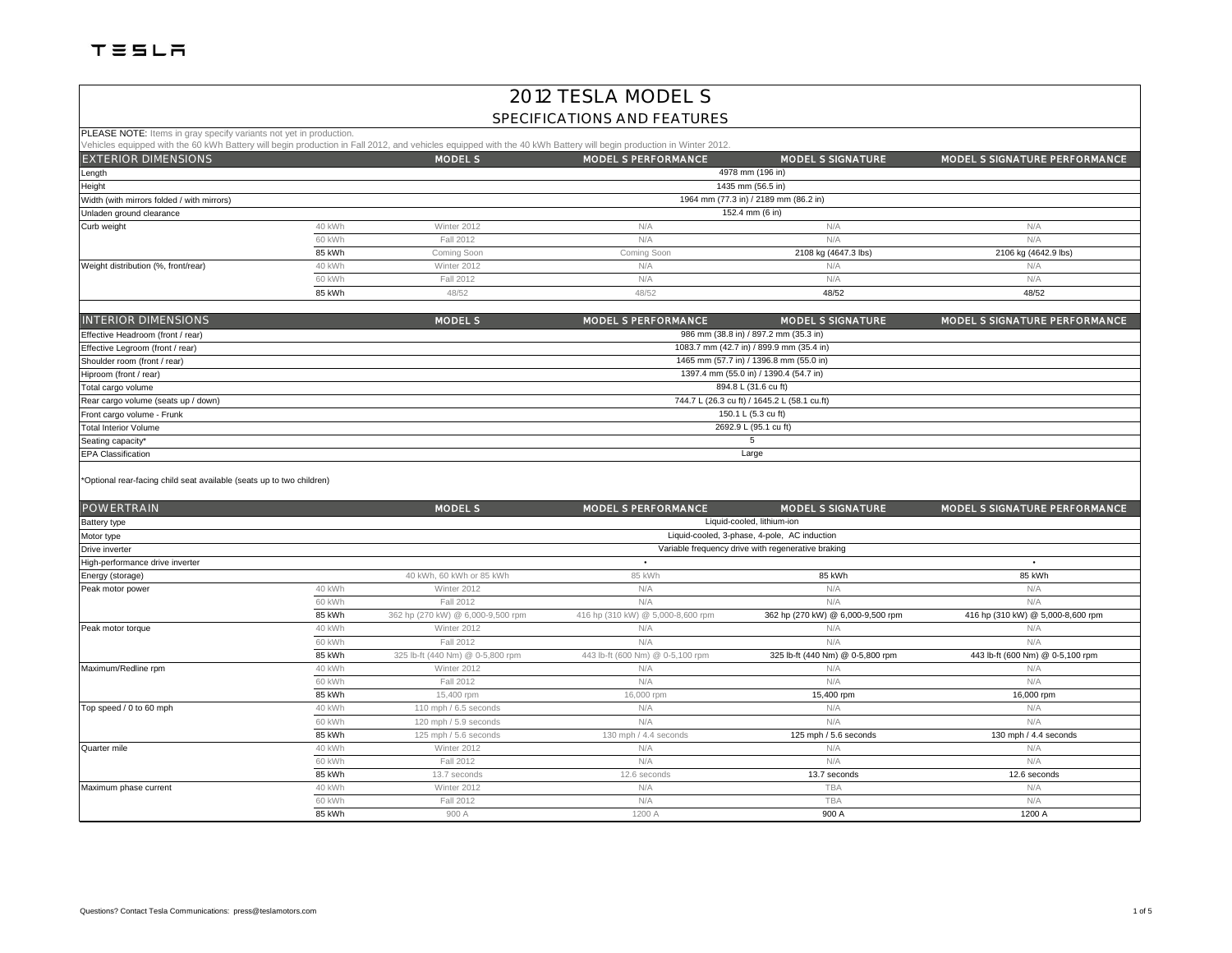# 2012 TESLA MODEL S

#### SPECIFICATIONS AND FEATURES

PLEASE NOTE: Items in gray specify variants not yet in production.

|                                                                                     |        |                | Vehicles equipped with the 60 kWh Battery will begin production in Fall 2012, and vehicles equipped with the 40 kWh Battery will begin production in Winter 2012. |                          |                               |
|-------------------------------------------------------------------------------------|--------|----------------|-------------------------------------------------------------------------------------------------------------------------------------------------------------------|--------------------------|-------------------------------|
| <b>EXTERIOR DIMENSIONS</b>                                                          |        | <b>MODEL S</b> | <b>MODEL S PERFORMANCE</b>                                                                                                                                        | <b>MODEL S SIGNATURE</b> | MODEL S SIGNATURE PERFORMANCE |
| Length                                                                              |        |                |                                                                                                                                                                   | 4978 mm (196 in)         |                               |
| Height<br>1435 mm (56.5 in)                                                         |        |                |                                                                                                                                                                   |                          |                               |
| 1964 mm (77.3 in) / 2189 mm (86.2 in)<br>Width (with mirrors folded / with mirrors) |        |                |                                                                                                                                                                   |                          |                               |
| Unladen ground clearance                                                            |        |                | 152.4 mm (6 in)                                                                                                                                                   |                          |                               |
| Curb weight                                                                         | 40 kWh | Winter 2012    | N/A                                                                                                                                                               | N/A                      | N/A                           |
|                                                                                     | 60 kWh | Fall 2012      | N/A                                                                                                                                                               | N/A                      | N/A                           |
|                                                                                     | 85 kWh | Coming Soon    | Coming Soon                                                                                                                                                       | 2108 kg (4647.3 lbs)     | 2106 kg (4642.9 lbs)          |
| Weight distribution (%, front/rear)                                                 | 40 kWh | Winter 2012    | N/A                                                                                                                                                               | N/A                      | N/A                           |
|                                                                                     | 60 kWh | Fall 2012      | N/A                                                                                                                                                               | N/A                      | N/A                           |
|                                                                                     | 85 kWh | 48/52          | 48/52                                                                                                                                                             | 48/52                    | 48/52                         |

| <b>INTERIOR DIMENSIONS</b>          | <b>MODEL S</b>                               | <b>MODEL S PERFORMANCE</b> | <b>MODEL S SIGNATURE</b>                 | MODEL S SIGNATURE PERFORMANCE |  |  |
|-------------------------------------|----------------------------------------------|----------------------------|------------------------------------------|-------------------------------|--|--|
| Effective Headroom (front / rear)   |                                              |                            | 986 mm (38.8 in) / 897.2 mm (35.3 in)    |                               |  |  |
| Effective Legroom (front / rear)    |                                              |                            | 1083.7 mm (42.7 in) / 899.9 mm (35.4 in) |                               |  |  |
| Shoulder room (front / rear)        |                                              |                            | 1465 mm (57.7 in) / 1396.8 mm (55.0 in)  |                               |  |  |
| Hiproom (front / rear)              | 1397.4 mm (55.0 in) / 1390.4 (54.7 in)       |                            |                                          |                               |  |  |
| Total cargo volume                  | 894.8 L (31.6 cu ft)                         |                            |                                          |                               |  |  |
| Rear cargo volume (seats up / down) | 744.7 L (26.3 cu ft) / 1645.2 L (58.1 cu.ft) |                            |                                          |                               |  |  |
| Front cargo volume - Frunk          | 150.1 L (5.3 cu ft)                          |                            |                                          |                               |  |  |
| <b>Total Interior Volume</b>        | 2692.9 L (95.1 cu ft)                        |                            |                                          |                               |  |  |
| Seating capacity*                   |                                              |                            |                                          |                               |  |  |
| <b>EPA Classification</b>           | Large                                        |                            |                                          |                               |  |  |
|                                     |                                              |                            |                                          |                               |  |  |

\*Optional rear-facing child seat available (seats up to two children)

| <b>POWERTRAIN</b>               |        | <b>MODEL S</b>                                     | <b>MODEL S PERFORMANCE</b>        | <b>MODEL S SIGNATURE</b>                     | MODEL S SIGNATURE PERFORMANCE     |  |  |
|---------------------------------|--------|----------------------------------------------------|-----------------------------------|----------------------------------------------|-----------------------------------|--|--|
| Battery type                    |        | Liquid-cooled, lithium-ion                         |                                   |                                              |                                   |  |  |
| Motor type                      |        |                                                    |                                   | Liquid-cooled, 3-phase, 4-pole, AC induction |                                   |  |  |
| Drive inverter                  |        | Variable frequency drive with regenerative braking |                                   |                                              |                                   |  |  |
| High-performance drive inverter |        |                                                    | ٠                                 |                                              | $\bullet$                         |  |  |
| Energy (storage)                |        | 40 kWh, 60 kWh or 85 kWh                           | 85 kWh                            | 85 kWh                                       | 85 kWh                            |  |  |
| Peak motor power                | 40 kWh | Winter 2012                                        | N/A                               | N/A                                          | N/A                               |  |  |
|                                 | 60 kWh | Fall 2012                                          | N/A                               | N/A                                          | N/A                               |  |  |
|                                 | 85 kWh | 362 hp (270 kW) @ 6,000-9,500 rpm                  | 416 hp (310 kW) @ 5,000-8,600 rpm | 362 hp (270 kW) @ 6,000-9,500 rpm            | 416 hp (310 kW) @ 5,000-8,600 rpm |  |  |
| Peak motor torque               | 40 kWh | Winter 2012                                        | N/A                               | N/A                                          | N/A                               |  |  |
|                                 | 60 kWh | Fall 2012                                          | N/A                               | N/A                                          | N/A                               |  |  |
|                                 | 85 kWh | 325 lb-ft (440 Nm) @ 0-5,800 rpm                   | 443 lb-ft (600 Nm) @ 0-5,100 rpm  | 325 lb-ft (440 Nm) @ 0-5,800 rpm             | 443 lb-ft (600 Nm) @ 0-5,100 rpm  |  |  |
| Maximum/Redline rpm             | 40 kWh | Winter 2012                                        | N/A                               | N/A                                          | N/A                               |  |  |
|                                 | 60 kWh | Fall 2012                                          | N/A                               | N/A                                          | N/A                               |  |  |
|                                 | 85 kWh | 15,400 rpm                                         | 16,000 rpm                        | 15,400 rpm                                   | 16,000 rpm                        |  |  |
| Top speed / 0 to 60 mph         | 40 kWh | 110 mph / 6.5 seconds                              | N/A                               | N/A                                          | N/A                               |  |  |
|                                 | 60 kWh | 120 mph / 5.9 seconds                              | N/A                               | N/A                                          | N/A                               |  |  |
|                                 | 85 kWh | 125 mph / 5.6 seconds                              | 130 mph / 4.4 seconds             | 125 mph / 5.6 seconds                        | 130 mph / 4.4 seconds             |  |  |
| Quarter mile                    | 40 kWh | Winter 2012                                        | N/A                               | N/A                                          | N/A                               |  |  |
|                                 | 60 kWh | Fall 2012                                          | N/A                               | N/A                                          | N/A                               |  |  |
|                                 | 85 kWh | 13.7 seconds                                       | 12.6 seconds                      | 13.7 seconds                                 | 12.6 seconds                      |  |  |
| Maximum phase current           | 40 kWh | Winter 2012                                        | N/A                               | <b>TBA</b>                                   | N/A                               |  |  |
|                                 | 60 kWh | Fall 2012                                          | N/A                               | <b>TBA</b>                                   | N/A                               |  |  |
|                                 | 85 kWh | 900 A                                              | 1200 A                            | 900 A                                        | 1200 A                            |  |  |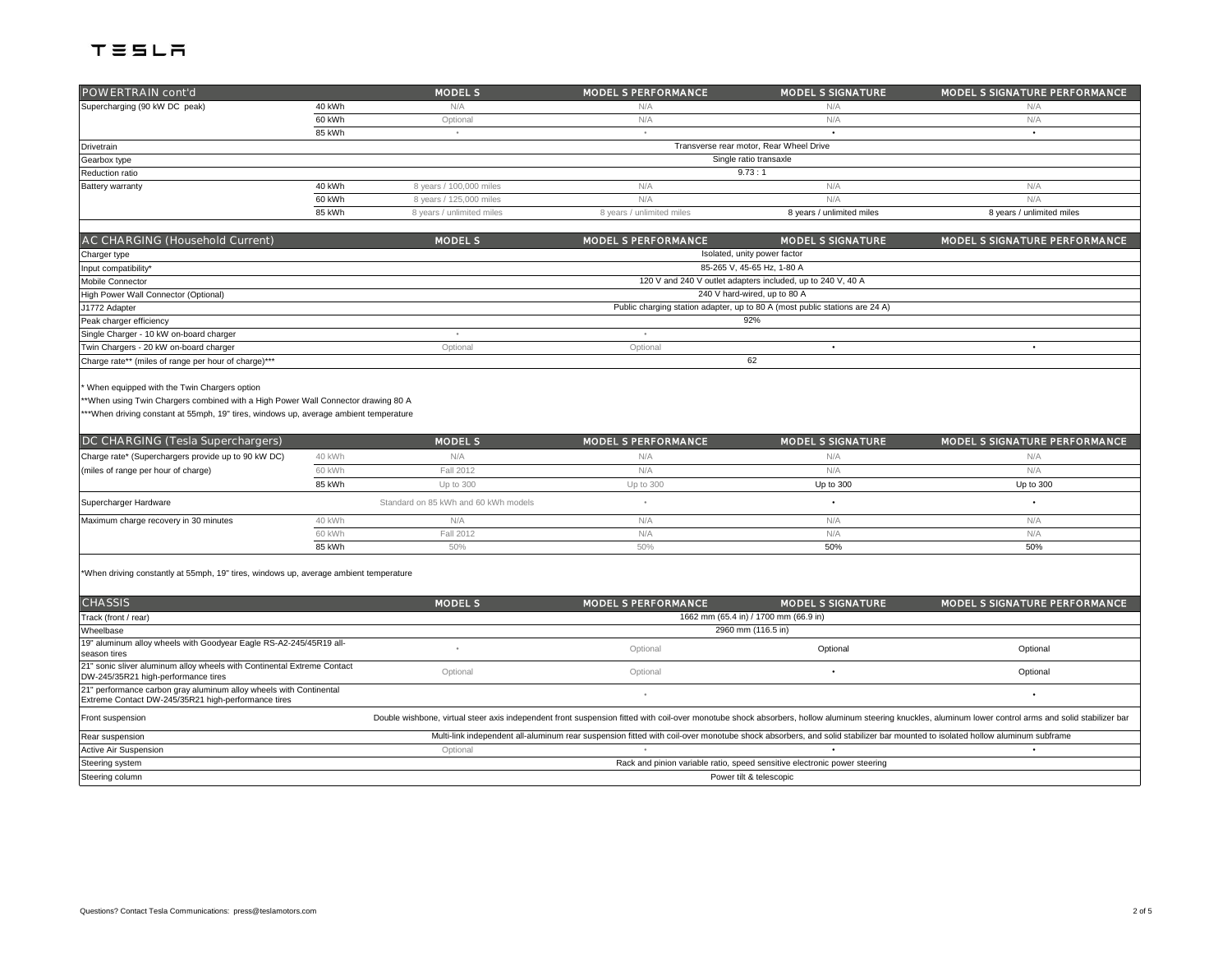| POWERTRAIN cont'd                                                                                                                                                                                                       |        | <b>MODEL S</b>                       | <b>MODEL S PERFORMANCE</b> | <b>MODEL S SIGNATURE</b>                                                    | MODEL S SIGNATURE PERFORMANCE |  |
|-------------------------------------------------------------------------------------------------------------------------------------------------------------------------------------------------------------------------|--------|--------------------------------------|----------------------------|-----------------------------------------------------------------------------|-------------------------------|--|
| Supercharging (90 kW DC peak)                                                                                                                                                                                           | 40 kWh | N/A                                  | N/A                        | N/A                                                                         | N/A                           |  |
|                                                                                                                                                                                                                         | 60 kWh | Optional                             | N/A                        | N/A                                                                         | N/A                           |  |
|                                                                                                                                                                                                                         | 85 kWh | $\bullet$                            | $\bullet$                  |                                                                             | $\bullet$                     |  |
| Drivetrain                                                                                                                                                                                                              |        |                                      |                            | Transverse rear motor, Rear Wheel Drive                                     |                               |  |
| Gearbox type                                                                                                                                                                                                            |        | Single ratio transaxle               |                            |                                                                             |                               |  |
| Reduction ratio                                                                                                                                                                                                         |        |                                      |                            | 9.73:1                                                                      |                               |  |
| Battery warranty                                                                                                                                                                                                        | 40 kWh | 8 years / 100,000 miles              | N/A                        | N/A                                                                         | N/A                           |  |
|                                                                                                                                                                                                                         | 60 kWh | 8 years / 125,000 miles              | N/A                        | N/A                                                                         | N/A                           |  |
|                                                                                                                                                                                                                         | 85 kWh | 8 years / unlimited miles            | 8 years / unlimited miles  | 8 years / unlimited miles                                                   | 8 years / unlimited miles     |  |
|                                                                                                                                                                                                                         |        |                                      |                            |                                                                             |                               |  |
| AC CHARGING (Household Current)                                                                                                                                                                                         |        | <b>MODEL S</b>                       | <b>MODEL S PERFORMANCE</b> | <b>MODEL S SIGNATURE</b>                                                    | MODEL S SIGNATURE PERFORMANCE |  |
| Charger type                                                                                                                                                                                                            |        |                                      |                            | Isolated, unity power factor                                                |                               |  |
| Input compatibility*                                                                                                                                                                                                    |        |                                      |                            | 85-265 V. 45-65 Hz. 1-80 A                                                  |                               |  |
| Mobile Connector                                                                                                                                                                                                        |        |                                      |                            | 120 V and 240 V outlet adapters included, up to 240 V, 40 A                 |                               |  |
| High Power Wall Connector (Optional)                                                                                                                                                                                    |        |                                      |                            | 240 V hard-wired, up to 80 A                                                |                               |  |
| J1772 Adapter                                                                                                                                                                                                           |        |                                      |                            | Public charging station adapter, up to 80 A (most public stations are 24 A) |                               |  |
| Peak charger efficiency                                                                                                                                                                                                 |        |                                      |                            | 92%                                                                         |                               |  |
| Single Charger - 10 kW on-board charger                                                                                                                                                                                 |        |                                      |                            |                                                                             |                               |  |
| Twin Chargers - 20 kW on-board charger                                                                                                                                                                                  |        | Optional                             | Optional                   | ٠                                                                           | $\bullet$                     |  |
| Charge rate** (miles of range per hour of charge)***                                                                                                                                                                    |        |                                      |                            | 62                                                                          |                               |  |
| When equipped with the Twin Chargers option<br>*When using Twin Chargers combined with a High Power Wall Connector drawing 80 A<br>**When driving constant at 55mph, 19" tires, windows up, average ambient temperature |        |                                      |                            |                                                                             |                               |  |
| DC CHARGING (Tesla Superchargers)                                                                                                                                                                                       |        | <b>MODEL S</b>                       | <b>MODEL S PERFORMANCE</b> | <b>MODEL S SIGNATURE</b>                                                    | MODEL S SIGNATURE PERFORMANCE |  |
| Charge rate* (Superchargers provide up to 90 kW DC)                                                                                                                                                                     | 40 kWh | N/A                                  | N/A                        | N/A                                                                         | N/A                           |  |
| (miles of range per hour of charge)                                                                                                                                                                                     | 60 kWh | Fall 2012                            | N/A                        | N/A                                                                         | N/A                           |  |
|                                                                                                                                                                                                                         | 85 kWh | Up to 300                            | Up to 300                  | Up to 300                                                                   | Up to 300                     |  |
| Supercharger Hardware                                                                                                                                                                                                   |        | Standard on 85 kWh and 60 kWh models |                            | $\bullet$                                                                   | ٠                             |  |
| Maximum charge recovery in 30 minutes                                                                                                                                                                                   | 40 kWh | N/A                                  | N/A                        | N/A                                                                         | N/A                           |  |
|                                                                                                                                                                                                                         | 60 kWh | Fall 2012                            | N/A                        | N/A                                                                         | N/A                           |  |
|                                                                                                                                                                                                                         | 85 kWh | 50%                                  | 50%                        | 50%                                                                         | 50%                           |  |
| *When driving constantly at 55mph, 19" tires, windows up, average ambient temperature                                                                                                                                   |        |                                      |                            |                                                                             |                               |  |
| <b>CHASSIS</b>                                                                                                                                                                                                          |        | <b>MODEL S</b>                       | MODEL S PERFORMANCE        | <b>MODEL S SIGNATURE</b>                                                    | MODEL S SIGNATURE PERFORMANCE |  |
| Track (front / rear)                                                                                                                                                                                                    |        |                                      |                            | 1662 mm (65.4 in) / 1700 mm (66.9 in)                                       |                               |  |

| Track (front / rear)                                                                                                      | 1662 mm (65.4 in) / 1700 mm (66.9 in)                                                                                                                                     |          |          |                                                                                                                                                                                                          |  |  |
|---------------------------------------------------------------------------------------------------------------------------|---------------------------------------------------------------------------------------------------------------------------------------------------------------------------|----------|----------|----------------------------------------------------------------------------------------------------------------------------------------------------------------------------------------------------------|--|--|
| Wheelbase                                                                                                                 | 2960 mm (116.5 in)                                                                                                                                                        |          |          |                                                                                                                                                                                                          |  |  |
| 19" aluminum alloy wheels with Goodyear Eagle RS-A2-245/45R19 all-<br>season tires                                        |                                                                                                                                                                           | Optional | Optional | Optional                                                                                                                                                                                                 |  |  |
| 21" sonic sliver aluminum alloy wheels with Continental Extreme Contact<br>DW-245/35R21 high-performance tires            | Optional                                                                                                                                                                  | Optional |          | Optional                                                                                                                                                                                                 |  |  |
| 21" performance carbon gray aluminum alloy wheels with Continental<br>Extreme Contact DW-245/35R21 high-performance tires |                                                                                                                                                                           |          |          |                                                                                                                                                                                                          |  |  |
| Front suspension                                                                                                          |                                                                                                                                                                           |          |          | Double wishbone, virtual steer axis independent front suspension fitted with coil-over monotube shock absorbers, hollow aluminum steering knuckles, aluminum lower control arms and solid stabilizer bar |  |  |
| Rear suspension                                                                                                           | Multi-link independent all-aluminum rear suspension fitted with coil-over monotube shock absorbers, and solid stabilizer bar mounted to isolated hollow aluminum subframe |          |          |                                                                                                                                                                                                          |  |  |
| Active Air Suspension                                                                                                     | Optional                                                                                                                                                                  |          |          |                                                                                                                                                                                                          |  |  |
| Steering system                                                                                                           | Rack and pinion variable ratio, speed sensitive electronic power steering                                                                                                 |          |          |                                                                                                                                                                                                          |  |  |
| Steering column                                                                                                           | Power tilt & telescopic                                                                                                                                                   |          |          |                                                                                                                                                                                                          |  |  |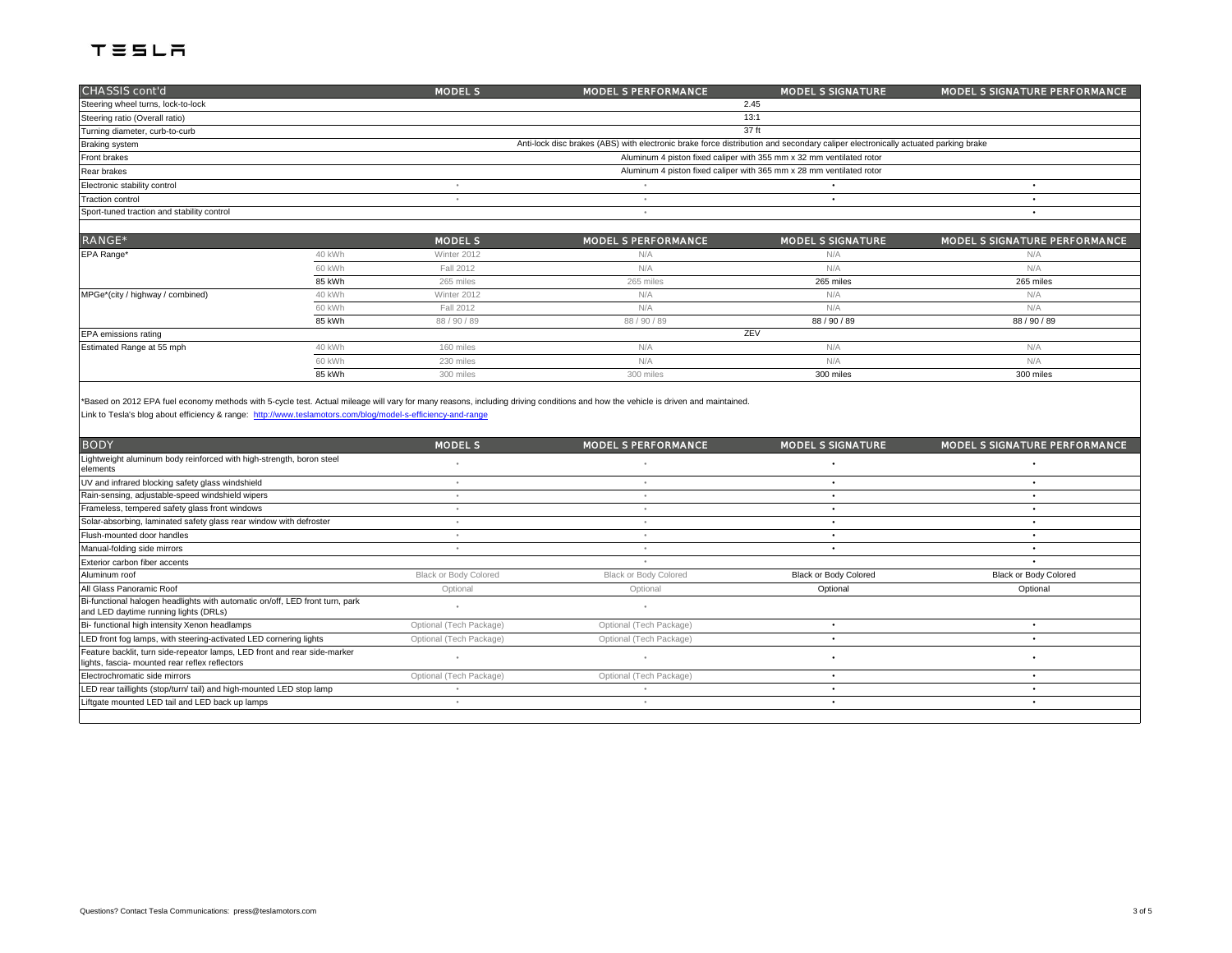| CHASSIS cont'd                             |        | <b>MODEL S</b> | <b>MODEL S PERFORMANCE</b>                                                                                                       | <b>MODEL S SIGNATURE</b>                                             | MODEL S SIGNATURE PERFORMANCE |  |  |
|--------------------------------------------|--------|----------------|----------------------------------------------------------------------------------------------------------------------------------|----------------------------------------------------------------------|-------------------------------|--|--|
| Steering wheel turns, lock-to-lock         |        |                | 2.45                                                                                                                             |                                                                      |                               |  |  |
| Steering ratio (Overall ratio)             |        |                |                                                                                                                                  | 13:1                                                                 |                               |  |  |
| 37 ft<br>Turning diameter, curb-to-curb    |        |                |                                                                                                                                  |                                                                      |                               |  |  |
| Braking system                             |        |                | Anti-lock disc brakes (ABS) with electronic brake force distribution and secondary caliper electronically actuated parking brake |                                                                      |                               |  |  |
| Front brakes                               |        |                |                                                                                                                                  | Aluminum 4 piston fixed caliper with 355 mm x 32 mm ventilated rotor |                               |  |  |
| Rear brakes                                |        |                |                                                                                                                                  | Aluminum 4 piston fixed caliper with 365 mm x 28 mm ventilated rotor |                               |  |  |
| Electronic stability control               |        |                |                                                                                                                                  |                                                                      |                               |  |  |
| <b>Traction control</b>                    |        | $\sim$         | ٠                                                                                                                                | $\bullet$                                                            |                               |  |  |
| Sport-tuned traction and stability control |        |                | $\sim$                                                                                                                           |                                                                      |                               |  |  |
|                                            |        |                |                                                                                                                                  |                                                                      |                               |  |  |
| RANGE*                                     |        | <b>MODEL S</b> | <b>MODEL S PERFORMANCE</b>                                                                                                       | <b>MODEL S SIGNATURE</b>                                             | MODEL S SIGNATURE PERFORMANCE |  |  |
| EPA Range*                                 | 40 kWh | Winter 2012    | N/A                                                                                                                              | N/A                                                                  | N/A                           |  |  |
|                                            | 60 kWh | Fall 2012      | N/A                                                                                                                              | N/A                                                                  | N/A                           |  |  |
|                                            | 85 kWh | 265 miles      | 265 miles                                                                                                                        | 265 miles                                                            | 265 miles                     |  |  |
| MPGe*(city / highway / combined)           | 40 kWh | Winter 2012    | N/A                                                                                                                              | N/A                                                                  | N/A                           |  |  |
|                                            | 60 kWh | Fall 2012      | N/A                                                                                                                              | N/A                                                                  | N/A                           |  |  |
|                                            | 85 kWh | 88 / 90 / 89   | 88 / 90 / 89                                                                                                                     | 88 / 90 / 89                                                         | 88 / 90 / 89                  |  |  |
| EPA emissions rating                       |        |                |                                                                                                                                  | ZEV                                                                  |                               |  |  |
| Estimated Range at 55 mph                  | 40 kWh | 160 miles      | N/A                                                                                                                              | N/A                                                                  | N/A                           |  |  |

60 kWh 230 miles N/A N/A N/A 85 kWh 300 miles 300 miles 300 miles 300 miles 300 miles 300 miles 300 miles 300 miles 300 miles 300 miles 300 miles

\*Based on 2012 EPA fuel economy methods with 5-cycle test. Actual mileage will vary for many reasons, including driving conditions and how the vehicle is driven and maintained.

[Link to Tesla's blog about efficiency & range: http://www.tesla](http://www.teslamotors.com/blog/model-s-efficiency-and-range)motors.com/blog/model-s-efficiency-and-range

| <b>BODY</b>                                                                                                                 | <b>MODEL S</b>          | <b>MODEL S PERFORMANCE</b> | <b>MODEL S SIGNATURE</b> | MODEL S SIGNATURE PERFORMANCE |
|-----------------------------------------------------------------------------------------------------------------------------|-------------------------|----------------------------|--------------------------|-------------------------------|
| Lightweight aluminum body reinforced with high-strength, boron steel<br>elements                                            |                         |                            |                          |                               |
| UV and infrared blocking safety glass windshield                                                                            |                         |                            |                          |                               |
| Rain-sensing, adjustable-speed windshield wipers                                                                            |                         |                            |                          |                               |
| Frameless, tempered safety glass front windows                                                                              |                         |                            |                          |                               |
| Solar-absorbing, laminated safety glass rear window with defroster                                                          |                         |                            |                          |                               |
| Flush-mounted door handles                                                                                                  |                         |                            |                          |                               |
| Manual-folding side mirrors                                                                                                 |                         |                            |                          |                               |
| Exterior carbon fiber accents                                                                                               |                         |                            |                          |                               |
| Aluminum roof                                                                                                               | Black or Body Colored   | Black or Body Colored      | Black or Body Colored    | Black or Body Colored         |
| All Glass Panoramic Roof                                                                                                    | Optional                | Optional                   | Optional                 | Optional                      |
| Bi-functional halogen headlights with automatic on/off, LED front turn, park<br>and LED daytime running lights (DRLs)       |                         |                            |                          |                               |
| Bi- functional high intensity Xenon headlamps                                                                               | Optional (Tech Package) | Optional (Tech Package)    |                          |                               |
| LED front fog lamps, with steering-activated LED cornering lights                                                           | Optional (Tech Package) | Optional (Tech Package)    |                          |                               |
| Feature backlit, turn side-repeator lamps, LED front and rear side-marker<br>lights, fascia- mounted rear reflex reflectors |                         |                            |                          |                               |
| Electrochromatic side mirrors                                                                                               | Optional (Tech Package) | Optional (Tech Package)    |                          |                               |
| LED rear taillights (stop/turn/ tail) and high-mounted LED stop lamp                                                        |                         |                            |                          |                               |
| Liftgate mounted LED tail and LED back up lamps                                                                             |                         |                            |                          |                               |
|                                                                                                                             |                         |                            |                          |                               |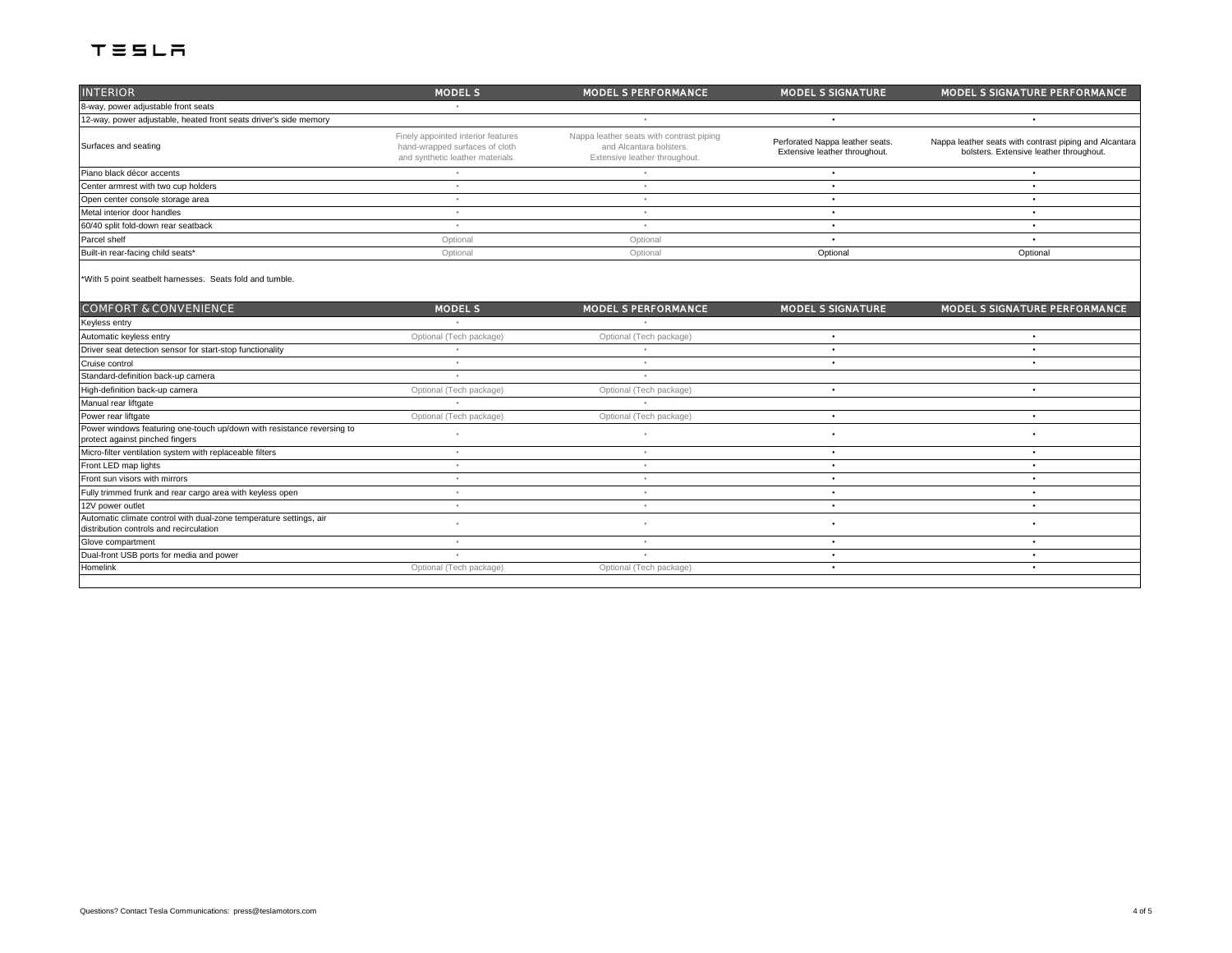| <b>INTERIOR</b>                                                                                               | <b>MODEL S</b>                                                                                           | <b>MODEL S PERFORMANCE</b>                                                                           | <b>MODEL S SIGNATURE</b>                                         | MODEL S SIGNATURE PERFORMANCE                                                                     |
|---------------------------------------------------------------------------------------------------------------|----------------------------------------------------------------------------------------------------------|------------------------------------------------------------------------------------------------------|------------------------------------------------------------------|---------------------------------------------------------------------------------------------------|
| 8-way, power adjustable front seats                                                                           |                                                                                                          |                                                                                                      |                                                                  |                                                                                                   |
| 12-way, power adjustable, heated front seats driver's side memory                                             |                                                                                                          | ٠                                                                                                    | $\bullet$                                                        | $\bullet$                                                                                         |
| Surfaces and seating                                                                                          | Finely appointed interior features<br>hand-wrapped surfaces of cloth<br>and synthetic leather materials. | Nappa leather seats with contrast piping<br>and Alcantara bolsters.<br>Extensive leather throughout. | Perforated Nappa leather seats.<br>Extensive leather throughout. | Nappa leather seats with contrast piping and Alcantara<br>bolsters. Extensive leather throughout. |
| Piano black décor accents                                                                                     | ٠                                                                                                        | $\circ$                                                                                              | ٠                                                                | $\bullet$                                                                                         |
| Center armrest with two cup holders                                                                           | ٠                                                                                                        | $\bullet$                                                                                            | ٠                                                                | $\bullet$                                                                                         |
| Open center console storage area                                                                              | ٠                                                                                                        | ٠                                                                                                    | $\bullet$                                                        | $\bullet$                                                                                         |
| Metal interior door handles                                                                                   | ٠                                                                                                        | ٠                                                                                                    | ٠                                                                | $\bullet$                                                                                         |
| 60/40 split fold-down rear seatback                                                                           | ٠                                                                                                        | $\bullet$                                                                                            | ٠                                                                | $\bullet$                                                                                         |
| Parcel shelf                                                                                                  | Optional                                                                                                 | Optional                                                                                             | ٠                                                                |                                                                                                   |
| Built-in rear-facing child seats*                                                                             | Optional                                                                                                 | Optional                                                                                             | Optional                                                         | Optional                                                                                          |
| *With 5 point seatbelt harnesses. Seats fold and tumble.                                                      |                                                                                                          |                                                                                                      |                                                                  |                                                                                                   |
| <b>COMFORT &amp; CONVENIENCE</b>                                                                              | <b>MODEL S</b>                                                                                           | <b>MODEL S PERFORMANCE</b>                                                                           | MODEL S SIGNATURE                                                | MODEL S SIGNATURE PERFORMANCE                                                                     |
| Keyless entry                                                                                                 | $\sim$                                                                                                   |                                                                                                      |                                                                  |                                                                                                   |
| Automatic keyless entry                                                                                       | Optional (Tech package)                                                                                  | Optional (Tech package)                                                                              | ٠                                                                |                                                                                                   |
| Driver seat detection sensor for start-stop functionality                                                     |                                                                                                          |                                                                                                      | ٠                                                                | $\bullet$                                                                                         |
| Cruise control                                                                                                | ٠                                                                                                        |                                                                                                      | ٠                                                                | $\bullet$                                                                                         |
| Standard-definition back-up camera                                                                            |                                                                                                          |                                                                                                      |                                                                  |                                                                                                   |
| High-definition back-up camera                                                                                | Optional (Tech package)                                                                                  | Optional (Tech package)                                                                              | ٠                                                                | $\bullet$                                                                                         |
| Manual rear liftgate                                                                                          |                                                                                                          |                                                                                                      |                                                                  |                                                                                                   |
| Power rear liftgate                                                                                           | Optional (Tech package)                                                                                  | Optional (Tech package)                                                                              | ٠                                                                | $\bullet$                                                                                         |
| Power windows featuring one-touch up/down with resistance reversing to<br>protect against pinched fingers     |                                                                                                          |                                                                                                      | ٠                                                                |                                                                                                   |
| Micro-filter ventilation system with replaceable filters                                                      | $\alpha$                                                                                                 | ٠                                                                                                    | ٠                                                                | $\bullet$                                                                                         |
| Front LED map lights                                                                                          | $\alpha$                                                                                                 | ٠                                                                                                    | ٠                                                                | $\bullet$                                                                                         |
| Front sun visors with mirrors                                                                                 | $\epsilon$                                                                                               | $\epsilon$                                                                                           | $\bullet$                                                        | $\bullet$                                                                                         |
| Fully trimmed frunk and rear cargo area with keyless open                                                     | ٠                                                                                                        | ٠                                                                                                    | $\bullet$                                                        | $\bullet$                                                                                         |
| 12V power outlet                                                                                              | ٠                                                                                                        | ٠                                                                                                    | $\bullet$                                                        | $\bullet$                                                                                         |
| Automatic climate control with dual-zone temperature settings, air<br>distribution controls and recirculation |                                                                                                          | ٠                                                                                                    | ٠                                                                | $\bullet$                                                                                         |
| Glove compartment                                                                                             | $\bullet$                                                                                                | $\bullet$                                                                                            | ٠                                                                | $\bullet$                                                                                         |
| Dual-front USB ports for media and power                                                                      | $\alpha$                                                                                                 |                                                                                                      | ٠                                                                | $\bullet$                                                                                         |
| Homelink                                                                                                      | Optional (Tech package)                                                                                  | Optional (Tech package)                                                                              | ٠                                                                | $\bullet$                                                                                         |
|                                                                                                               |                                                                                                          |                                                                                                      |                                                                  |                                                                                                   |